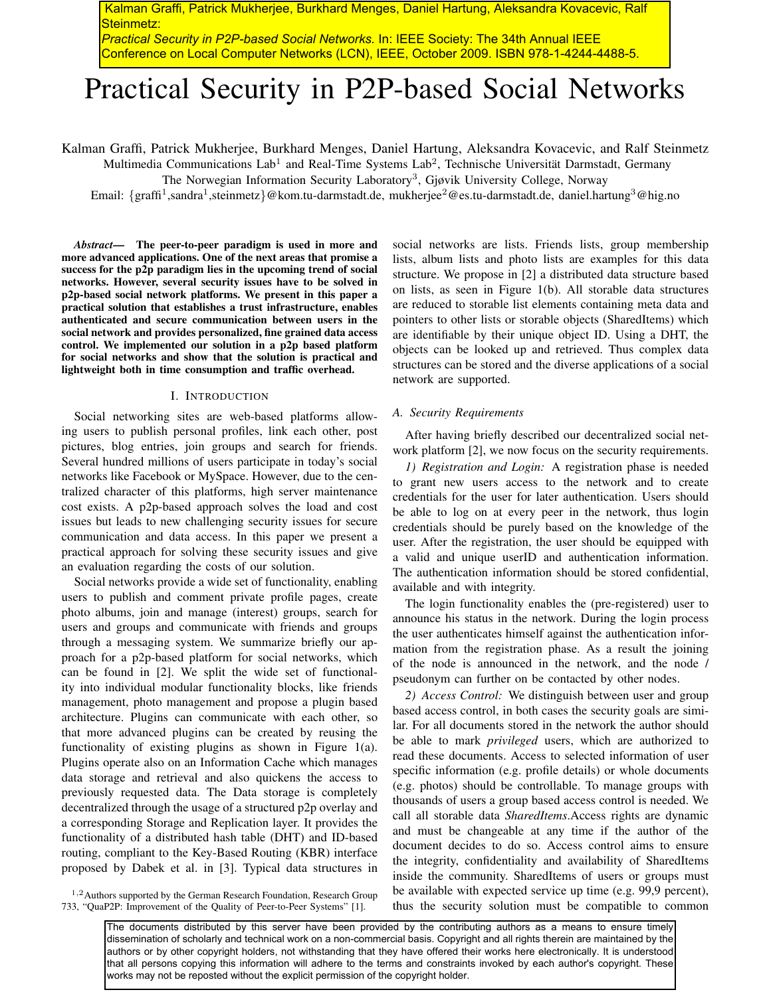Kalman Graffi, Patrick Mukherjee, Burkhard Menges, Daniel Hartung, Aleksandra Kovacevic, Ralf Steinmetz:

*Practical Security in P2P-based Social Networks.* In: IEEE Society: The 34th Annual IEEE Conference on Local Computer Networks (LCN), IEEE, October 2009. ISBN 978-1-4244-4488-5.

# Practical Security in P2P-based Social Networks

Kalman Graffi, Patrick Mukherjee, Burkhard Menges, Daniel Hartung, Aleksandra Kovacevic, and Ralf Steinmetz

Multimedia Communications Lab<sup>1</sup> and Real-Time Systems Lab<sup>2</sup>, Technische Universität Darmstadt, Germany

The Norwegian Information Security Laboratory<sup>3</sup>, Gjøvik University College, Norway

Email: {graffi<sup>1</sup>,sandra<sup>1</sup>,steinmetz}@kom.tu-darmstadt.de, mukherjee<sup>2</sup>@es.tu-darmstadt.de, daniel.hartung<sup>3</sup>@hig.no

*Abstract*— The peer-to-peer paradigm is used in more and more advanced applications. One of the next areas that promise a success for the p2p paradigm lies in the upcoming trend of social networks. However, several security issues have to be solved in p2p-based social network platforms. We present in this paper a practical solution that establishes a trust infrastructure, enables authenticated and secure communication between users in the social network and provides personalized, fine grained data access control. We implemented our solution in a p2p based platform for social networks and show that the solution is practical and lightweight both in time consumption and traffic overhead.

#### I. INTRODUCTION

Social networking sites are web-based platforms allowing users to publish personal profiles, link each other, post pictures, blog entries, join groups and search for friends. Several hundred millions of users participate in today's social networks like Facebook or MySpace. However, due to the centralized character of this platforms, high server maintenance cost exists. A p2p-based approach solves the load and cost issues but leads to new challenging security issues for secure communication and data access. In this paper we present a practical approach for solving these security issues and give an evaluation regarding the costs of our solution.

Social networks provide a wide set of functionality, enabling users to publish and comment private profile pages, create photo albums, join and manage (interest) groups, search for users and groups and communicate with friends and groups through a messaging system. We summarize briefly our approach for a p2p-based platform for social networks, which can be found in [2]. We split the wide set of functionality into individual modular functionality blocks, like friends management, photo management and propose a plugin based architecture. Plugins can communicate with each other, so that more advanced plugins can be created by reusing the functionality of existing plugins as shown in Figure 1(a). Plugins operate also on an Information Cache which manages data storage and retrieval and also quickens the access to previously requested data. The Data storage is completely decentralized through the usage of a structured p2p overlay and a corresponding Storage and Replication layer. It provides the functionality of a distributed hash table (DHT) and ID-based routing, compliant to the Key-Based Routing (KBR) interface proposed by Dabek et al. in [3]. Typical data structures in

<sup>1,2</sup>Authors supported by the German Research Foundation, Research Group 733, "QuaP2P: Improvement of the Quality of Peer-to-Peer Systems" [1].

social networks are lists. Friends lists, group membership lists, album lists and photo lists are examples for this data structure. We propose in [2] a distributed data structure based on lists, as seen in Figure 1(b). All storable data structures are reduced to storable list elements containing meta data and pointers to other lists or storable objects (SharedItems) which are identifiable by their unique object ID. Using a DHT, the objects can be looked up and retrieved. Thus complex data structures can be stored and the diverse applications of a social network are supported.

## *A. Security Requirements*

After having briefly described our decentralized social network platform [2], we now focus on the security requirements.

*1) Registration and Login:* A registration phase is needed to grant new users access to the network and to create credentials for the user for later authentication. Users should be able to log on at every peer in the network, thus login credentials should be purely based on the knowledge of the user. After the registration, the user should be equipped with a valid and unique userID and authentication information. The authentication information should be stored confidential, available and with integrity.

The login functionality enables the (pre-registered) user to announce his status in the network. During the login process the user authenticates himself against the authentication information from the registration phase. As a result the joining of the node is announced in the network, and the node / pseudonym can further on be contacted by other nodes.

*2) Access Control:* We distinguish between user and group based access control, in both cases the security goals are similar. For all documents stored in the network the author should be able to mark *privileged* users, which are authorized to read these documents. Access to selected information of user specific information (e.g. profile details) or whole documents (e.g. photos) should be controllable. To manage groups with thousands of users a group based access control is needed. We call all storable data *SharedItems*.Access rights are dynamic and must be changeable at any time if the author of the document decides to do so. Access control aims to ensure the integrity, confidentiality and availability of SharedItems inside the community. SharedItems of users or groups must be available with expected service up time (e.g. 99,9 percent), thus the security solution must be compatible to common

The documents distributed by this server have been provided by the contributing authors as a means to ensure timely dissemination of scholarly and technical work on a non-commercial basis. Copyright and all rights therein are maintained by the authors or by other copyright holders, not withstanding that they have offered their works here electronically. It is understood that all persons copying this information will adhere to the terms and constraints invoked by each author's copyright. These works may not be reposted without the explicit permission of the copyright holder.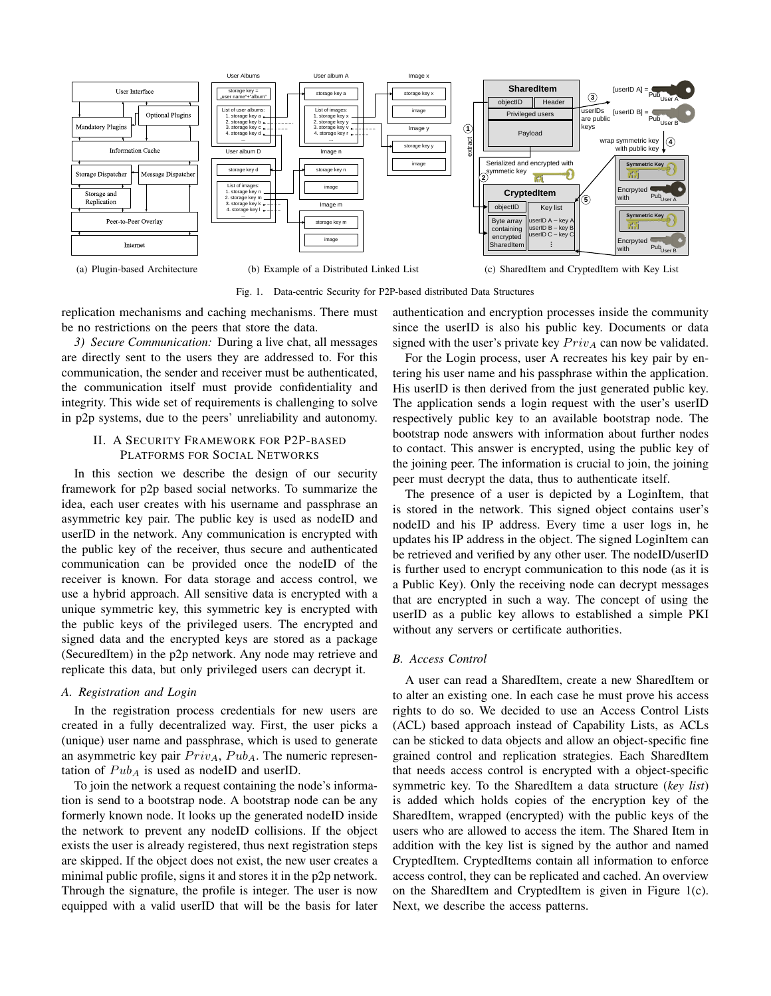

(a) Plugin-based Architecture

(b) Example of a Distributed Linked List

(c) SharedItem and CryptedItem with Key List

Fig. 1. Data-centric Security for P2P-based distributed Data Structures

replication mechanisms and caching mechanisms. There must be no restrictions on the peers that store the data.

*3) Secure Communication:* During a live chat, all messages are directly sent to the users they are addressed to. For this communication, the sender and receiver must be authenticated, the communication itself must provide confidentiality and integrity. This wide set of requirements is challenging to solve in p2p systems, due to the peers' unreliability and autonomy.

# II. A SECURITY FRAMEWORK FOR P2P-BASED PLATFORMS FOR SOCIAL NETWORKS

In this section we describe the design of our security framework for p2p based social networks. To summarize the idea, each user creates with his username and passphrase an asymmetric key pair. The public key is used as nodeID and userID in the network. Any communication is encrypted with the public key of the receiver, thus secure and authenticated communication can be provided once the nodeID of the receiver is known. For data storage and access control, we use a hybrid approach. All sensitive data is encrypted with a unique symmetric key, this symmetric key is encrypted with the public keys of the privileged users. The encrypted and signed data and the encrypted keys are stored as a package (SecuredItem) in the p2p network. Any node may retrieve and replicate this data, but only privileged users can decrypt it.

## *A. Registration and Login*

In the registration process credentials for new users are created in a fully decentralized way. First, the user picks a (unique) user name and passphrase, which is used to generate an asymmetric key pair  $Priv_A$ ,  $Pub_A$ . The numeric representation of  $Pub<sub>A</sub>$  is used as nodeID and userID.

To join the network a request containing the node's information is send to a bootstrap node. A bootstrap node can be any formerly known node. It looks up the generated nodeID inside the network to prevent any nodeID collisions. If the object exists the user is already registered, thus next registration steps are skipped. If the object does not exist, the new user creates a minimal public profile, signs it and stores it in the p2p network. Through the signature, the profile is integer. The user is now equipped with a valid userID that will be the basis for later authentication and encryption processes inside the community since the userID is also his public key. Documents or data signed with the user's private key  $Priv_A$  can now be validated.

For the Login process, user A recreates his key pair by entering his user name and his passphrase within the application. His userID is then derived from the just generated public key. The application sends a login request with the user's userID respectively public key to an available bootstrap node. The bootstrap node answers with information about further nodes to contact. This answer is encrypted, using the public key of the joining peer. The information is crucial to join, the joining peer must decrypt the data, thus to authenticate itself.

The presence of a user is depicted by a LoginItem, that is stored in the network. This signed object contains user's nodeID and his IP address. Every time a user logs in, he updates his IP address in the object. The signed LoginItem can be retrieved and verified by any other user. The nodeID/userID is further used to encrypt communication to this node (as it is a Public Key). Only the receiving node can decrypt messages that are encrypted in such a way. The concept of using the userID as a public key allows to established a simple PKI without any servers or certificate authorities.

# *B. Access Control*

A user can read a SharedItem, create a new SharedItem or to alter an existing one. In each case he must prove his access rights to do so. We decided to use an Access Control Lists (ACL) based approach instead of Capability Lists, as ACLs can be sticked to data objects and allow an object-specific fine grained control and replication strategies. Each SharedItem that needs access control is encrypted with a object-specific symmetric key. To the SharedItem a data structure (*key list*) is added which holds copies of the encryption key of the SharedItem, wrapped (encrypted) with the public keys of the users who are allowed to access the item. The Shared Item in addition with the key list is signed by the author and named CryptedItem. CryptedItems contain all information to enforce access control, they can be replicated and cached. An overview on the SharedItem and CryptedItem is given in Figure 1(c). Next, we describe the access patterns.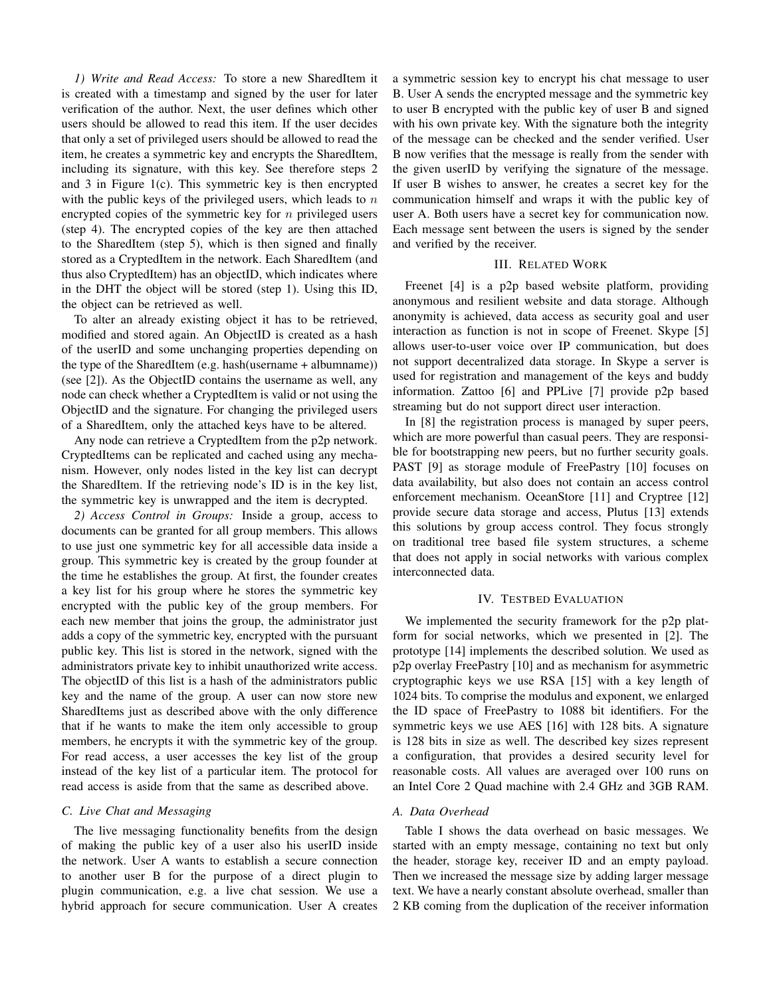*1) Write and Read Access:* To store a new SharedItem it is created with a timestamp and signed by the user for later verification of the author. Next, the user defines which other users should be allowed to read this item. If the user decides that only a set of privileged users should be allowed to read the item, he creates a symmetric key and encrypts the SharedItem, including its signature, with this key. See therefore steps 2 and 3 in Figure 1(c). This symmetric key is then encrypted with the public keys of the privileged users, which leads to  $n$ encrypted copies of the symmetric key for  $n$  privileged users (step 4). The encrypted copies of the key are then attached to the SharedItem (step 5), which is then signed and finally stored as a CryptedItem in the network. Each SharedItem (and thus also CryptedItem) has an objectID, which indicates where in the DHT the object will be stored (step 1). Using this ID, the object can be retrieved as well.

To alter an already existing object it has to be retrieved, modified and stored again. An ObjectID is created as a hash of the userID and some unchanging properties depending on the type of the SharedItem (e.g. hash(username + albumname)) (see [2]). As the ObjectID contains the username as well, any node can check whether a CryptedItem is valid or not using the ObjectID and the signature. For changing the privileged users of a SharedItem, only the attached keys have to be altered.

Any node can retrieve a CryptedItem from the p2p network. CryptedItems can be replicated and cached using any mechanism. However, only nodes listed in the key list can decrypt the SharedItem. If the retrieving node's ID is in the key list, the symmetric key is unwrapped and the item is decrypted.

*2) Access Control in Groups:* Inside a group, access to documents can be granted for all group members. This allows to use just one symmetric key for all accessible data inside a group. This symmetric key is created by the group founder at the time he establishes the group. At first, the founder creates a key list for his group where he stores the symmetric key encrypted with the public key of the group members. For each new member that joins the group, the administrator just adds a copy of the symmetric key, encrypted with the pursuant public key. This list is stored in the network, signed with the administrators private key to inhibit unauthorized write access. The objectID of this list is a hash of the administrators public key and the name of the group. A user can now store new SharedItems just as described above with the only difference that if he wants to make the item only accessible to group members, he encrypts it with the symmetric key of the group. For read access, a user accesses the key list of the group instead of the key list of a particular item. The protocol for read access is aside from that the same as described above.

#### *C. Live Chat and Messaging*

The live messaging functionality benefits from the design of making the public key of a user also his userID inside the network. User A wants to establish a secure connection to another user B for the purpose of a direct plugin to plugin communication, e.g. a live chat session. We use a hybrid approach for secure communication. User A creates

a symmetric session key to encrypt his chat message to user B. User A sends the encrypted message and the symmetric key to user B encrypted with the public key of user B and signed with his own private key. With the signature both the integrity of the message can be checked and the sender verified. User B now verifies that the message is really from the sender with the given userID by verifying the signature of the message. If user B wishes to answer, he creates a secret key for the communication himself and wraps it with the public key of user A. Both users have a secret key for communication now. Each message sent between the users is signed by the sender and verified by the receiver.

## III. RELATED WORK

Freenet [4] is a p2p based website platform, providing anonymous and resilient website and data storage. Although anonymity is achieved, data access as security goal and user interaction as function is not in scope of Freenet. Skype [5] allows user-to-user voice over IP communication, but does not support decentralized data storage. In Skype a server is used for registration and management of the keys and buddy information. Zattoo [6] and PPLive [7] provide p2p based streaming but do not support direct user interaction.

In [8] the registration process is managed by super peers, which are more powerful than casual peers. They are responsible for bootstrapping new peers, but no further security goals. PAST [9] as storage module of FreePastry [10] focuses on data availability, but also does not contain an access control enforcement mechanism. OceanStore [11] and Cryptree [12] provide secure data storage and access, Plutus [13] extends this solutions by group access control. They focus strongly on traditional tree based file system structures, a scheme that does not apply in social networks with various complex interconnected data.

## IV. TESTBED EVALUATION

We implemented the security framework for the p2p platform for social networks, which we presented in [2]. The prototype [14] implements the described solution. We used as p2p overlay FreePastry [10] and as mechanism for asymmetric cryptographic keys we use RSA [15] with a key length of 1024 bits. To comprise the modulus and exponent, we enlarged the ID space of FreePastry to 1088 bit identifiers. For the symmetric keys we use AES [16] with 128 bits. A signature is 128 bits in size as well. The described key sizes represent a configuration, that provides a desired security level for reasonable costs. All values are averaged over 100 runs on an Intel Core 2 Quad machine with 2.4 GHz and 3GB RAM.

#### *A. Data Overhead*

Table I shows the data overhead on basic messages. We started with an empty message, containing no text but only the header, storage key, receiver ID and an empty payload. Then we increased the message size by adding larger message text. We have a nearly constant absolute overhead, smaller than 2 KB coming from the duplication of the receiver information